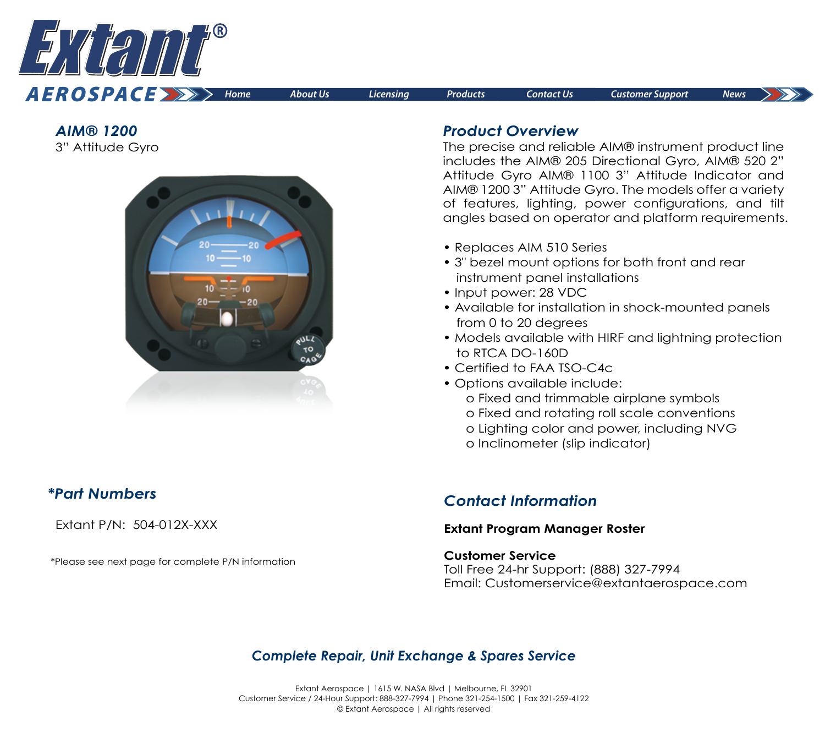

*AIM® 1200*  3" Attitude Gyro



### *Product Overview*

The precise and reliable AIM® instrument product line includes the AIM® 205 Directional Gyro, AIM® 520 2" Attitude Gyro AIM® 1100 3" Attitude Indicator and AIM® 1200 3" Attitude Gyro. The models offer a variety of features, lighting, power configurations, and tilt angles based on operator and platform requirements.

- Replaces AIM 510 Series
- 3" bezel mount options for both front and rear instrument panel installations
- Input power: 28 VDC
- Available for installation in shock-mounted panels from 0 to 20 degrees
- Models available with HIRF and lightning protection to RTCA DO-160D
- Certified to FAA TSO-C4c
- Options available include: o Fixed and trimmable airplane symbols
	- o Fixed and rotating roll scale conventions
	- o Lighting color and power, including NVG
	- o Inclinometer (slip indicator)

# *\*Part Numbers*

Extant P/N: 504-012X-XXX

\*Please see next page for complete P/N information

# *Contact Information*

### **[Extant Program Manager Roster](https://extantaerospace.com/docs/Program_Manager_Roster.pdf)**

#### **Customer Service**

Toll Free 24-hr Support: (888) 327-7994 Email: Customerservice@extantaerospace.com

# *Complete Repair, Unit Exchange & Spares Service*

Extant Aerospace | 1615 W. NASA Blvd | Melbourne, FL 32901 Customer Service / 24-Hour Support: 888-327-7994 | Phone 321-254-1500 | Fax 321-259-4122 © Extant Aerospace | All rights reserved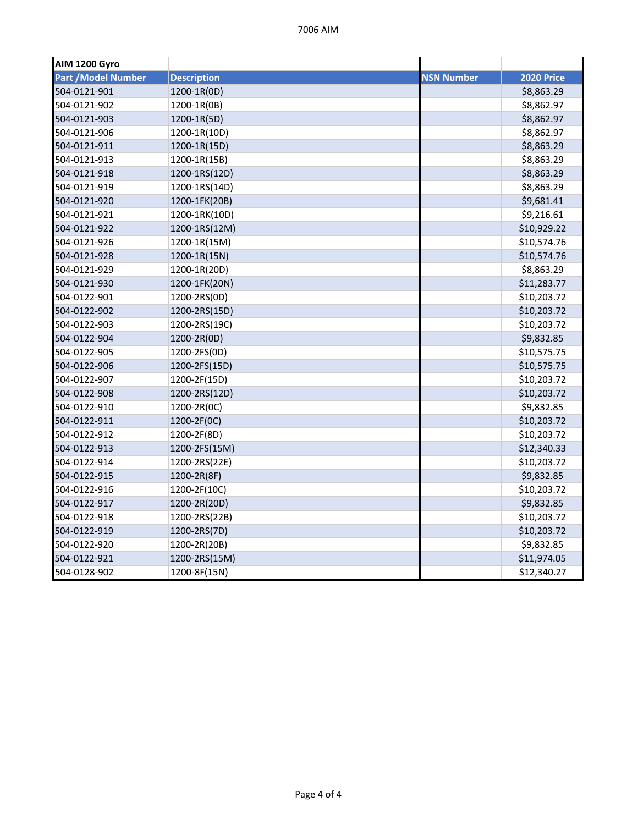| <b>AIM 1200 Gyro</b> |                    |                   |                   |
|----------------------|--------------------|-------------------|-------------------|
| Part / Model Number  | <b>Description</b> | <b>NSN Number</b> | <b>2020 Price</b> |
| 504-0121-901         | 1200-1R(0D)        |                   | \$8,863.29        |
| 504-0121-902         | 1200-1R(0B)        |                   | \$8,862.97        |
| 504-0121-903         | 1200-1R(5D)        |                   | \$8,862.97        |
| 504-0121-906         | 1200-1R(10D)       |                   | \$8,862.97        |
| 504-0121-911         | 1200-1R(15D)       |                   | \$8,863.29        |
| 504-0121-913         | 1200-1R(15B)       |                   | \$8,863.29        |
| 504-0121-918         | 1200-1RS(12D)      |                   | \$8,863.29        |
| 504-0121-919         | 1200-1RS(14D)      |                   | \$8,863.29        |
| 504-0121-920         | 1200-1FK(20B)      |                   | \$9,681.41        |
| 504-0121-921         | 1200-1RK(10D)      |                   | \$9,216.61        |
| 504-0121-922         | 1200-1RS(12M)      |                   | \$10,929.22       |
| 504-0121-926         | 1200-1R(15M)       |                   | \$10,574.76       |
| 504-0121-928         | 1200-1R(15N)       |                   | \$10,574.76       |
| 504-0121-929         | 1200-1R(20D)       |                   | \$8,863.29        |
| 504-0121-930         | 1200-1FK(20N)      |                   | \$11,283.77       |
| 504-0122-901         | 1200-2RS(0D)       |                   | \$10,203.72       |
| 504-0122-902         | 1200-2RS(15D)      |                   | \$10,203.72       |
| 504-0122-903         | 1200-2RS(19C)      |                   | \$10,203.72       |
| 504-0122-904         | 1200-2R(0D)        |                   | \$9,832.85        |
| 504-0122-905         | 1200-2FS(0D)       |                   | \$10,575.75       |
| 504-0122-906         | 1200-2FS(15D)      |                   | \$10,575.75       |
| 504-0122-907         | 1200-2F(15D)       |                   | \$10,203.72       |
| 504-0122-908         | 1200-2RS(12D)      |                   | \$10,203.72       |
| 504-0122-910         | 1200-2R(0C)        |                   | \$9,832.85        |
| 504-0122-911         | 1200-2F(0C)        |                   | \$10,203.72       |
| 504-0122-912         | 1200-2F(8D)        |                   | \$10,203.72       |
| 504-0122-913         | 1200-2FS(15M)      |                   | \$12,340.33       |
| 504-0122-914         | 1200-2RS(22E)      |                   | \$10,203.72       |
| 504-0122-915         | 1200-2R(8F)        |                   | \$9,832.85        |
| 504-0122-916         | 1200-2F(10C)       |                   | \$10,203.72       |
| 504-0122-917         | 1200-2R(20D)       |                   | \$9,832.85        |
| 504-0122-918         | 1200-2RS(22B)      |                   | \$10,203.72       |
| 504-0122-919         | 1200-2RS(7D)       |                   | \$10,203.72       |
| 504-0122-920         | 1200-2R(20B)       |                   | \$9,832.85        |
| 504-0122-921         | 1200-2RS(15M)      |                   | \$11,974.05       |
| 504-0128-902         | 1200-8F(15N)       |                   | \$12,340.27       |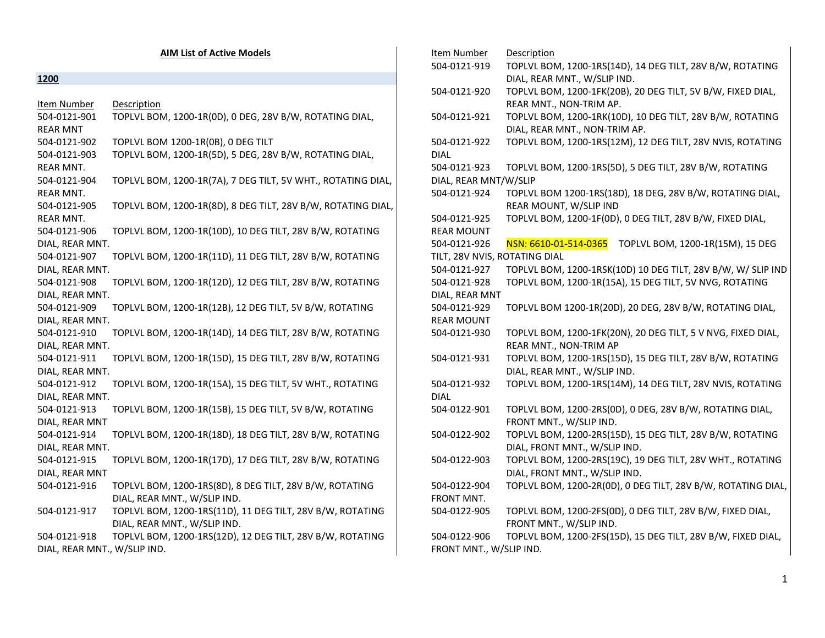|                              | <b>AIM List of Active Models</b>                             | Item Number                   | Description                                                  |
|------------------------------|--------------------------------------------------------------|-------------------------------|--------------------------------------------------------------|
|                              |                                                              | 504-0121-919                  | TOPLVL BOM, 1200-1RS(14D), 14 DEG TILT, 28V B/W, ROTATING    |
| 1200                         |                                                              |                               | DIAL, REAR MNT., W/SLIP IND.                                 |
|                              |                                                              | 504-0121-920                  | TOPLVL BOM, 1200-1FK(20B), 20 DEG TILT, 5V B/W, FIXED DIAL,  |
| Item Number                  | Description                                                  |                               | REAR MNT., NON-TRIM AP.                                      |
| 504-0121-901                 | TOPLVL BOM, 1200-1R(0D), 0 DEG, 28V B/W, ROTATING DIAL,      | 504-0121-921                  | TOPLVL BOM, 1200-1RK(10D), 10 DEG TILT, 28V B/W, ROTATING    |
| <b>REAR MNT</b>              |                                                              |                               | DIAL, REAR MNT., NON-TRIM AP.                                |
| 504-0121-902                 | TOPLVL BOM 1200-1R(0B), 0 DEG TILT                           | 504-0121-922                  | TOPLVL BOM, 1200-1RS(12M), 12 DEG TILT, 28V NVIS, ROTATING   |
| 504-0121-903                 | TOPLVL BOM, 1200-1R(5D), 5 DEG, 28V B/W, ROTATING DIAL,      | <b>DIAL</b>                   |                                                              |
| <b>REAR MNT.</b>             |                                                              | 504-0121-923                  | TOPLVL BOM, 1200-1RS(5D), 5 DEG TILT, 28V B/W, ROTATING      |
| 504-0121-904                 | TOPLVL BOM, 1200-1R(7A), 7 DEG TILT, 5V WHT., ROTATING DIAL, | DIAL, REAR MNT/W/SLIP         |                                                              |
| <b>REAR MNT.</b>             |                                                              | 504-0121-924                  | TOPLVL BOM 1200-1RS(18D), 18 DEG, 28V B/W, ROTATING DIAL,    |
| 504-0121-905                 | TOPLVL BOM, 1200-1R(8D), 8 DEG TILT, 28V B/W, ROTATING DIAL, |                               | REAR MOUNT, W/SLIP IND                                       |
| REAR MNT.                    |                                                              | 504-0121-925                  | TOPLVL BOM, 1200-1F(0D), 0 DEG TILT, 28V B/W, FIXED DIAL,    |
| 504-0121-906                 | TOPLVL BOM, 1200-1R(10D), 10 DEG TILT, 28V B/W, ROTATING     | <b>REAR MOUNT</b>             |                                                              |
| DIAL, REAR MNT.              |                                                              | 504-0121-926                  | NSN: 6610-01-514-0365<br>TOPLVL BOM, 1200-1R(15M), 15 DEG    |
| 504-0121-907                 | TOPLVL BOM, 1200-1R(11D), 11 DEG TILT, 28V B/W, ROTATING     | TILT, 28V NVIS, ROTATING DIAL |                                                              |
| DIAL, REAR MNT.              |                                                              | 504-0121-927                  | TOPLVL BOM, 1200-1RSK(10D) 10 DEG TILT, 28V B/W, W/ SLIP IND |
| 504-0121-908                 | TOPLVL BOM, 1200-1R(12D), 12 DEG TILT, 28V B/W, ROTATING     | 504-0121-928                  | TOPLVL BOM, 1200-1R(15A), 15 DEG TILT, 5V NVG, ROTATING      |
| DIAL, REAR MNT.              |                                                              | DIAL, REAR MNT                |                                                              |
| 504-0121-909                 | TOPLVL BOM, 1200-1R(12B), 12 DEG TILT, 5V B/W, ROTATING      | 504-0121-929                  | TOPLVL BOM 1200-1R(20D), 20 DEG, 28V B/W, ROTATING DIAL,     |
| DIAL, REAR MNT.              |                                                              | <b>REAR MOUNT</b>             |                                                              |
| 504-0121-910                 | TOPLVL BOM, 1200-1R(14D), 14 DEG TILT, 28V B/W, ROTATING     | 504-0121-930                  | TOPLVL BOM, 1200-1FK(20N), 20 DEG TILT, 5 V NVG, FIXED DIAL, |
| DIAL, REAR MNT.              |                                                              |                               | REAR MNT., NON-TRIM AP                                       |
| 504-0121-911                 | TOPLVL BOM, 1200-1R(15D), 15 DEG TILT, 28V B/W, ROTATING     | 504-0121-931                  | TOPLVL BOM, 1200-1RS(15D), 15 DEG TILT, 28V B/W, ROTATING    |
| DIAL, REAR MNT.              |                                                              |                               | DIAL, REAR MNT., W/SLIP IND.                                 |
| 504-0121-912                 | TOPLVL BOM, 1200-1R(15A), 15 DEG TILT, 5V WHT., ROTATING     | 504-0121-932                  | TOPLVL BOM, 1200-1RS(14M), 14 DEG TILT, 28V NVIS, ROTATING   |
| DIAL, REAR MNT.              |                                                              | <b>DIAL</b>                   |                                                              |
| 504-0121-913                 | TOPLVL BOM, 1200-1R(15B), 15 DEG TILT, 5V B/W, ROTATING      | 504-0122-901                  | TOPLVL BOM, 1200-2RS(0D), 0 DEG, 28V B/W, ROTATING DIAL,     |
| DIAL, REAR MNT               |                                                              |                               | FRONT MNT., W/SLIP IND.                                      |
| 504-0121-914                 | TOPLVL BOM, 1200-1R(18D), 18 DEG TILT, 28V B/W, ROTATING     | 504-0122-902                  | TOPLVL BOM, 1200-2RS(15D), 15 DEG TILT, 28V B/W, ROTATING    |
| DIAL, REAR MNT.              |                                                              |                               | DIAL, FRONT MNT., W/SLIP IND.                                |
| 504-0121-915                 | TOPLVL BOM, 1200-1R(17D), 17 DEG TILT, 28V B/W, ROTATING     | 504-0122-903                  | TOPLVL BOM, 1200-2RS(19C), 19 DEG TILT, 28V WHT., ROTATING   |
| DIAL, REAR MNT               |                                                              |                               | DIAL, FRONT MNT., W/SLIP IND.                                |
| 504-0121-916                 | TOPLVL BOM, 1200-1RS(8D), 8 DEG TILT, 28V B/W, ROTATING      | 504-0122-904                  | TOPLVL BOM, 1200-2R(0D), 0 DEG TILT, 28V B/W, ROTATING DIAL, |
|                              | DIAL, REAR MNT., W/SLIP IND.                                 | FRONT MNT.                    |                                                              |
| 504-0121-917                 | TOPLVL BOM, 1200-1RS(11D), 11 DEG TILT, 28V B/W, ROTATING    | 504-0122-905                  | TOPLVL BOM, 1200-2FS(0D), 0 DEG TILT, 28V B/W, FIXED DIAL,   |
|                              | DIAL, REAR MNT., W/SLIP IND.                                 |                               | FRONT MNT., W/SLIP IND.                                      |
| 504-0121-918                 | TOPLVL BOM, 1200-1RS(12D), 12 DEG TILT, 28V B/W, ROTATING    | 504-0122-906                  | TOPLVL BOM, 1200-2FS(15D), 15 DEG TILT, 28V B/W, FIXED DIAL, |
| DIAL, REAR MNT., W/SLIP IND. |                                                              | FRONT MNT., W/SLIP IND.       |                                                              |